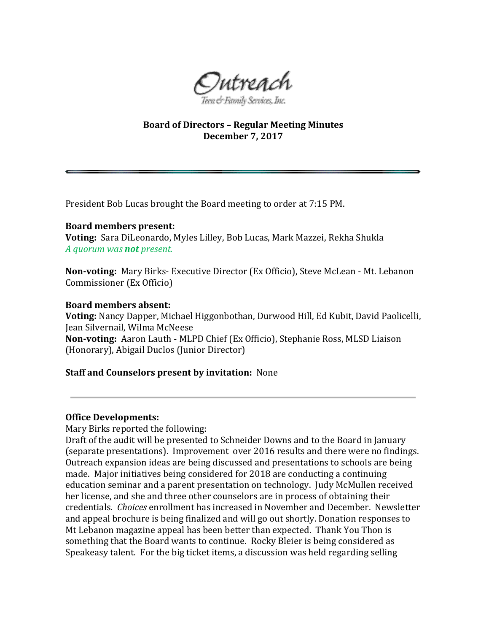

# **Board of Directors – Regular Meeting Minutes December 7, 2017**

President Bob Lucas brought the Board meeting to order at 7:15 PM.

#### **Board members present:**

**Voting:** Sara DiLeonardo, Myles Lilley, Bob Lucas, Mark Mazzei, Rekha Shukla *A quorum was not present.* 

**Non-voting:** Mary Birks- Executive Director (Ex Officio), Steve McLean - Mt. Lebanon Commissioner (Ex Officio)

#### **Board members absent:**

**Voting:** Nancy Dapper, Michael Higgonbothan, Durwood Hill, Ed Kubit, David Paolicelli, Jean Silvernail, Wilma McNeese **Non-voting:** Aaron Lauth - MLPD Chief (Ex Officio), Stephanie Ross, MLSD Liaison (Honorary), Abigail Duclos (Junior Director)

### **Staff and Counselors present by invitation:** None

### **Office Developments:**

Mary Birks reported the following:

Draft of the audit will be presented to Schneider Downs and to the Board in January (separate presentations). Improvement over 2016 results and there were no findings. Outreach expansion ideas are being discussed and presentations to schools are being made. Major initiatives being considered for 2018 are conducting a continuing education seminar and a parent presentation on technology. Judy McMullen received her license, and she and three other counselors are in process of obtaining their credentials. *Choices* enrollment has increased in November and December. Newsletter and appeal brochure is being finalized and will go out shortly. Donation responses to Mt Lebanon magazine appeal has been better than expected. Thank You Thon is something that the Board wants to continue. Rocky Bleier is being considered as Speakeasy talent. For the big ticket items, a discussion was held regarding selling